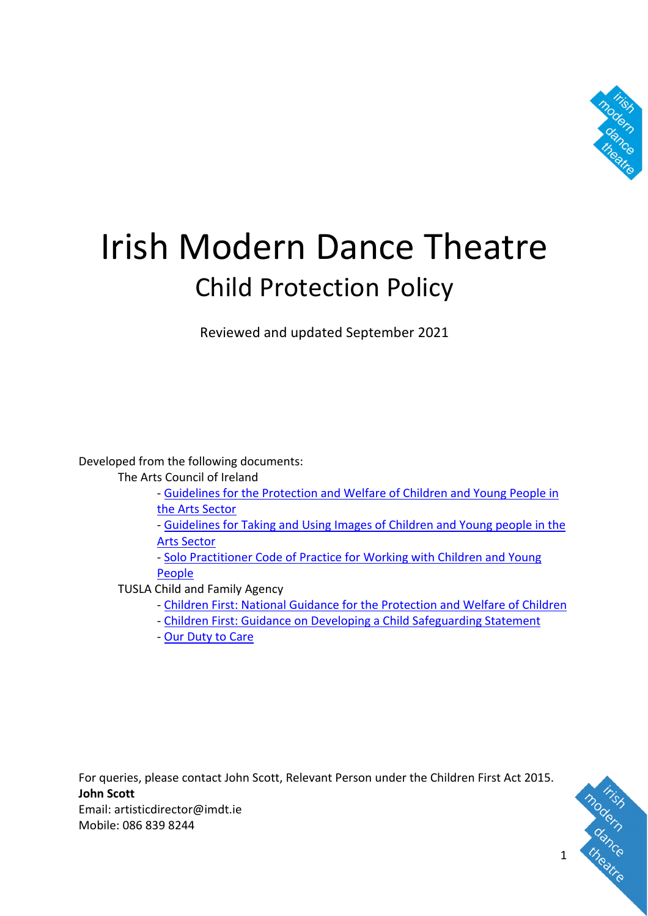

# Irish Modern Dance Theatre Child Protection Policy

Reviewed and updated September 2021

Developed from the following documents:

The Arts Council of Ireland

- Guidelines for the Protection and Welfare of Children and Young People in the Arts Sector

- Guidelines for Taking and Using Images of Children and Young people in the Arts Sector

- Solo Practitioner Code of Practice for Working with Children and Young People

TUSLA Child and Family Agency

- Children First: National Guidance for the Protection and Welfare of Children
- Children First: Guidance on Developing a Child Safeguarding Statement
- Our Duty to Care

For queries, please contact John Scott, Relevant Person under the Children First Act 2015. **John Scott** Email: artisticdirector@imdt.ie Mobile: 086 839 8244

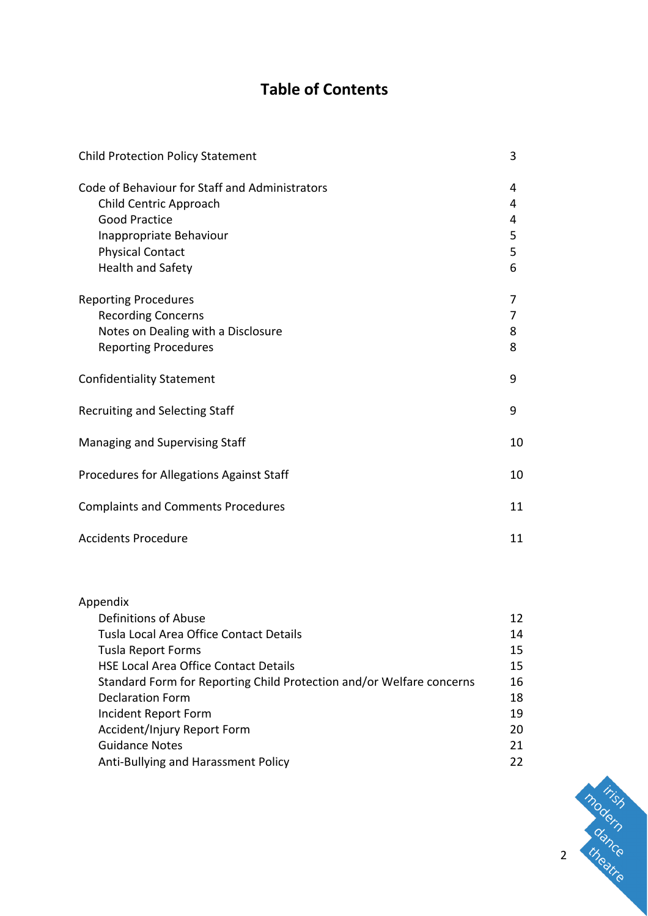## **Table of Contents**

| <b>Child Protection Policy Statement</b>                                                                                                                                           | 3                          |
|------------------------------------------------------------------------------------------------------------------------------------------------------------------------------------|----------------------------|
| Code of Behaviour for Staff and Administrators<br>Child Centric Approach<br><b>Good Practice</b><br>Inappropriate Behaviour<br><b>Physical Contact</b><br><b>Health and Safety</b> | 4<br>4<br>4<br>5<br>5<br>6 |
| <b>Reporting Procedures</b><br><b>Recording Concerns</b><br>Notes on Dealing with a Disclosure<br><b>Reporting Procedures</b>                                                      | 7<br>7<br>8<br>8           |
| <b>Confidentiality Statement</b>                                                                                                                                                   | 9                          |
| <b>Recruiting and Selecting Staff</b>                                                                                                                                              | 9                          |
| <b>Managing and Supervising Staff</b>                                                                                                                                              | 10                         |
| Procedures for Allegations Against Staff                                                                                                                                           | 10                         |
| <b>Complaints and Comments Procedures</b>                                                                                                                                          | 11                         |
| <b>Accidents Procedure</b>                                                                                                                                                         | 11                         |

| Appendix                                                             |    |
|----------------------------------------------------------------------|----|
| Definitions of Abuse                                                 | 12 |
| Tusla Local Area Office Contact Details                              | 14 |
| <b>Tusla Report Forms</b>                                            | 15 |
| <b>HSE Local Area Office Contact Details</b>                         | 15 |
| Standard Form for Reporting Child Protection and/or Welfare concerns | 16 |
| <b>Declaration Form</b>                                              | 18 |
| Incident Report Form                                                 | 19 |
| Accident/Injury Report Form                                          | 20 |
| <b>Guidance Notes</b>                                                | 21 |
| Anti-Bullying and Harassment Policy                                  | 22 |

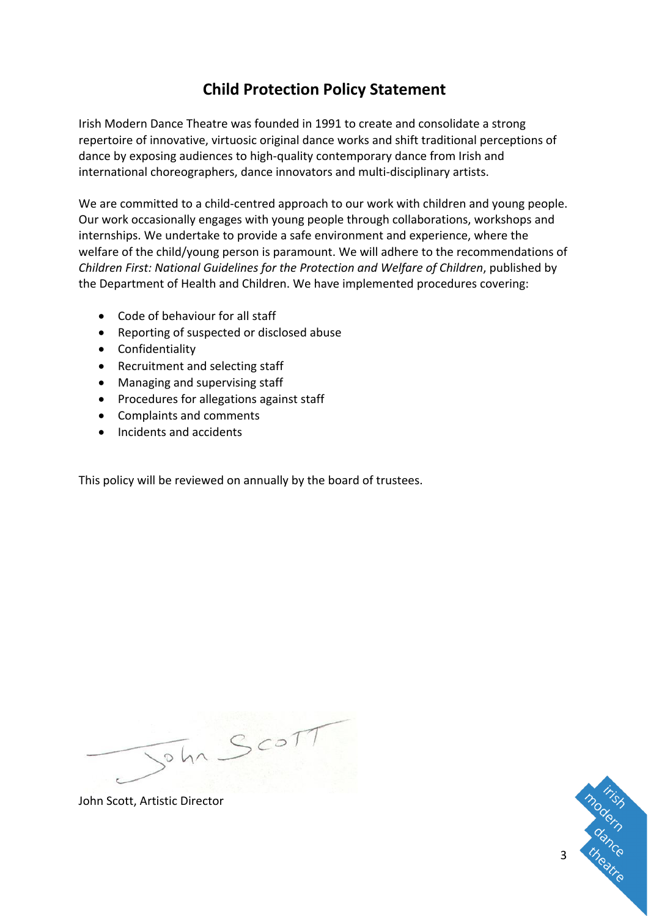## **Child Protection Policy Statement**

Irish Modern Dance Theatre was founded in 1991 to create and consolidate a strong repertoire of innovative, virtuosic original dance works and shift traditional perceptions of dance by exposing audiences to high-quality contemporary dance from Irish and international choreographers, dance innovators and multi-disciplinary artists.

We are committed to a child-centred approach to our work with children and young people. Our work occasionally engages with young people through collaborations, workshops and internships. We undertake to provide a safe environment and experience, where the welfare of the child/young person is paramount. We will adhere to the recommendations of *Children First: National Guidelines for the Protection and Welfare of Children*, published by the Department of Health and Children. We have implemented procedures covering:

- Code of behaviour for all staff
- Reporting of suspected or disclosed abuse
- Confidentiality
- Recruitment and selecting staff
- Managing and supervising staff
- Procedures for allegations against staff
- Complaints and comments
- Incidents and accidents

This policy will be reviewed on annually by the board of trustees.

John Scott



John Scott, Artistic Director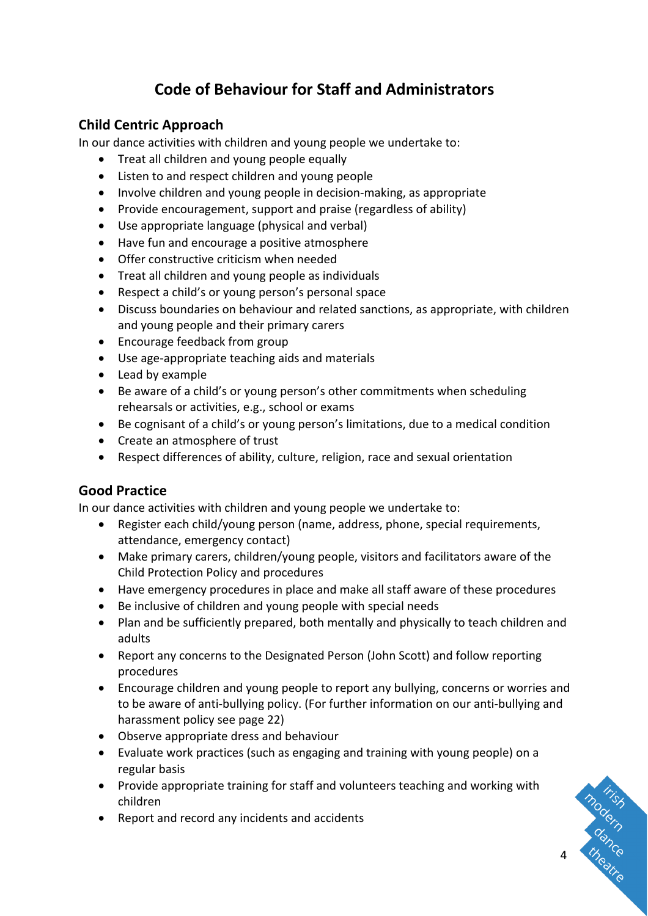## **Code of Behaviour for Staff and Administrators**

## **Child Centric Approach**

In our dance activities with children and young people we undertake to:

- Treat all children and young people equally
- Listen to and respect children and young people
- Involve children and young people in decision-making, as appropriate
- Provide encouragement, support and praise (regardless of ability)
- Use appropriate language (physical and verbal)
- Have fun and encourage a positive atmosphere
- Offer constructive criticism when needed
- Treat all children and young people as individuals
- Respect a child's or young person's personal space
- Discuss boundaries on behaviour and related sanctions, as appropriate, with children and young people and their primary carers
- Encourage feedback from group
- Use age-appropriate teaching aids and materials
- Lead by example
- Be aware of a child's or young person's other commitments when scheduling rehearsals or activities, e.g., school or exams
- Be cognisant of a child's or young person's limitations, due to a medical condition
- Create an atmosphere of trust
- Respect differences of ability, culture, religion, race and sexual orientation

## **Good Practice**

In our dance activities with children and young people we undertake to:

- Register each child/young person (name, address, phone, special requirements, attendance, emergency contact)
- Make primary carers, children/young people, visitors and facilitators aware of the Child Protection Policy and procedures
- Have emergency procedures in place and make all staff aware of these procedures
- Be inclusive of children and young people with special needs
- Plan and be sufficiently prepared, both mentally and physically to teach children and adults
- Report any concerns to the Designated Person (John Scott) and follow reporting procedures
- Encourage children and young people to report any bullying, concerns or worries and to be aware of anti-bullying policy. (For further information on our anti-bullying and harassment policy see page 22)
- Observe appropriate dress and behaviour
- Evaluate work practices (such as engaging and training with young people) on a regular basis
- Provide appropriate training for staff and volunteers teaching and working with children
- Report and record any incidents and accidents

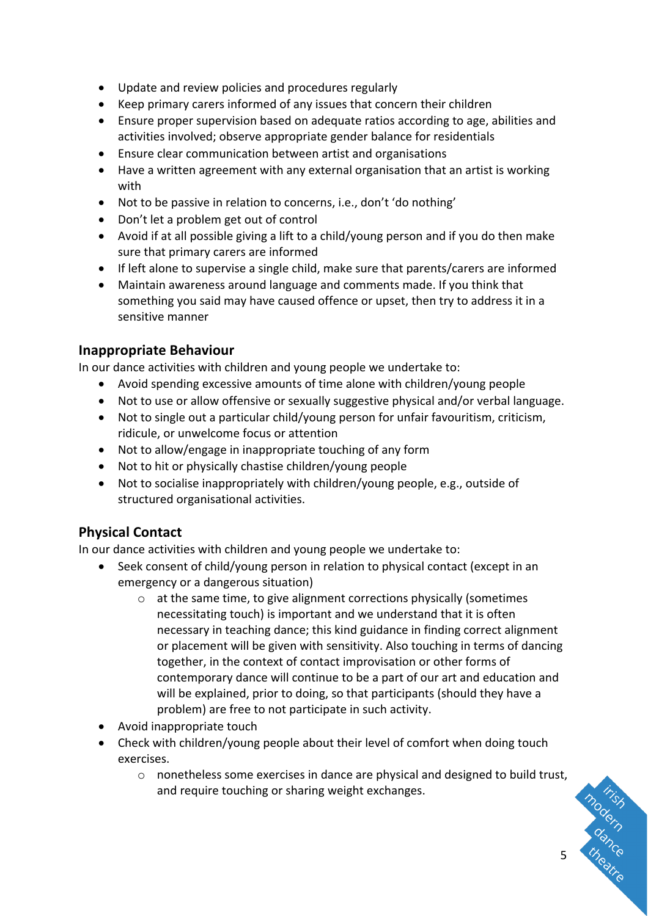- Update and review policies and procedures regularly
- Keep primary carers informed of any issues that concern their children
- Ensure proper supervision based on adequate ratios according to age, abilities and activities involved; observe appropriate gender balance for residentials
- Ensure clear communication between artist and organisations
- Have a written agreement with any external organisation that an artist is working with
- Not to be passive in relation to concerns, i.e., don't 'do nothing'
- Don't let a problem get out of control
- Avoid if at all possible giving a lift to a child/young person and if you do then make sure that primary carers are informed
- If left alone to supervise a single child, make sure that parents/carers are informed
- Maintain awareness around language and comments made. If you think that something you said may have caused offence or upset, then try to address it in a sensitive manner

#### **Inappropriate Behaviour**

In our dance activities with children and young people we undertake to:

- Avoid spending excessive amounts of time alone with children/young people
- Not to use or allow offensive or sexually suggestive physical and/or verbal language.
- Not to single out a particular child/young person for unfair favouritism, criticism, ridicule, or unwelcome focus or attention
- Not to allow/engage in inappropriate touching of any form
- Not to hit or physically chastise children/young people
- Not to socialise inappropriately with children/young people, e.g., outside of structured organisational activities.

#### **Physical Contact**

In our dance activities with children and young people we undertake to:

- Seek consent of child/young person in relation to physical contact (except in an emergency or a dangerous situation)
	- o at the same time, to give alignment corrections physically (sometimes necessitating touch) is important and we understand that it is often necessary in teaching dance; this kind guidance in finding correct alignment or placement will be given with sensitivity. Also touching in terms of dancing together, in the context of contact improvisation or other forms of contemporary dance will continue to be a part of our art and education and will be explained, prior to doing, so that participants (should they have a problem) are free to not participate in such activity.
- Avoid inappropriate touch
- Check with children/young people about their level of comfort when doing touch exercises.
	- $\circ$  nonetheless some exercises in dance are physical and designed to build trust, and require touching or sharing weight exchanges.

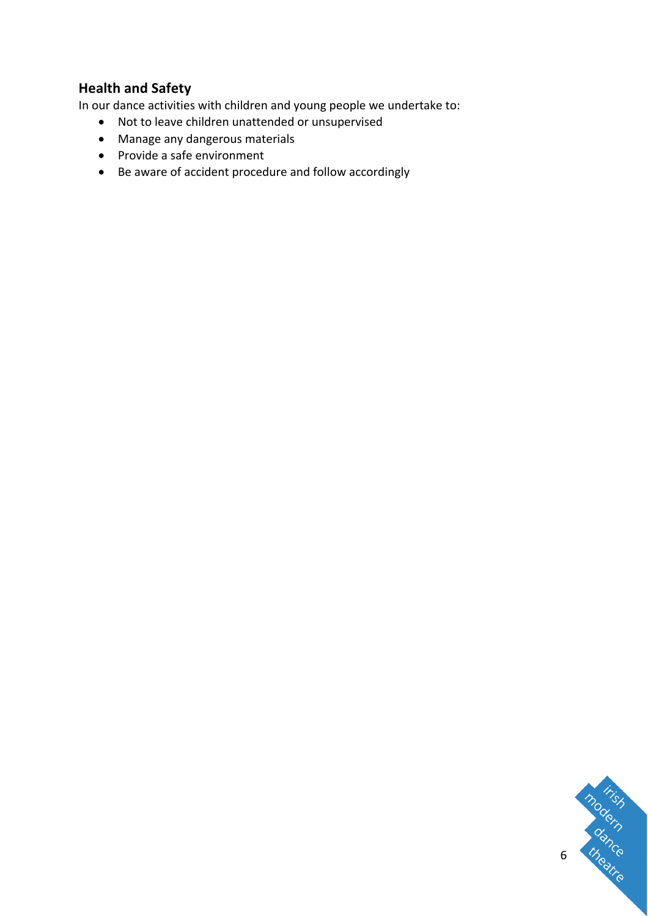## **Health and Safety**

In our dance activities with children and young people we undertake to:

- Not to leave children unattended or unsupervised
- Manage any dangerous materials
- Provide a safe environment
- Be aware of accident procedure and follow accordingly

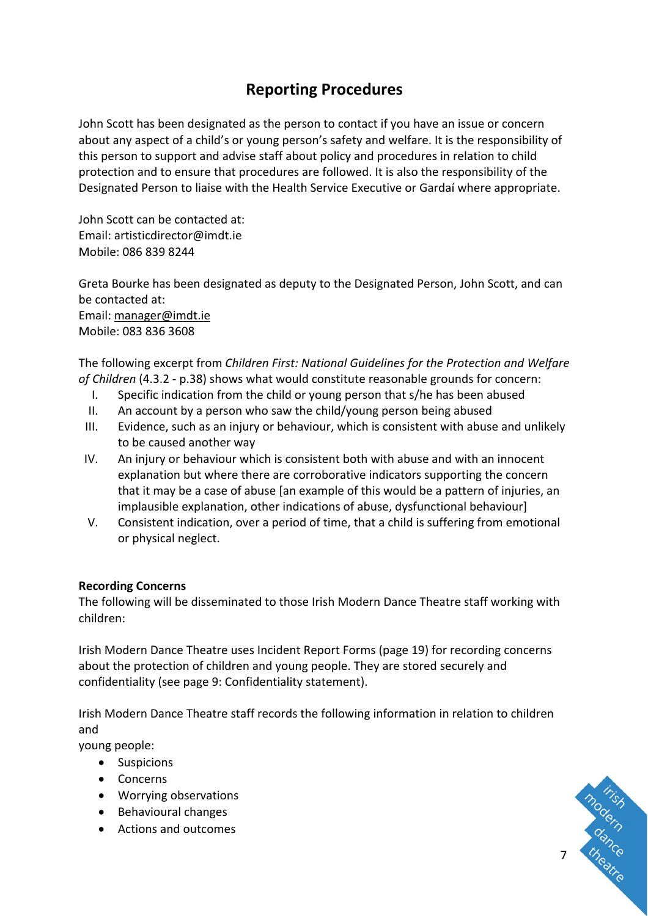## **Reporting Procedures**

John Scott has been designated as the person to contact if you have an issue or concern about any aspect of a child's or young person's safety and welfare. It is the responsibility of this person to support and advise staff about policy and procedures in relation to child protection and to ensure that procedures are followed. It is also the responsibility of the Designated Person to liaise with the Health Service Executive or Gardaí where appropriate.

John Scott can be contacted at: Email: artisticdirector@imdt.ie Mobile: 086 839 8244

Greta Bourke has been designated as deputy to the Designated Person, John Scott, and can be contacted at: Email: manager@imdt.ie Mobile: 083 836 3608

The following excerpt from *Children First: National Guidelines for the Protection and Welfare of Children* (4.3.2 - p.38) shows what would constitute reasonable grounds for concern:

- I. Specific indication from the child or young person that s/he has been abused
- II. An account by a person who saw the child/young person being abused
- III. Evidence, such as an injury or behaviour, which is consistent with abuse and unlikely to be caused another way
- IV. An injury or behaviour which is consistent both with abuse and with an innocent explanation but where there are corroborative indicators supporting the concern that it may be a case of abuse [an example of this would be a pattern of injuries, an implausible explanation, other indications of abuse, dysfunctional behaviour]
- V. Consistent indication, over a period of time, that a child is suffering from emotional or physical neglect.

#### **Recording Concerns**

The following will be disseminated to those Irish Modern Dance Theatre staff working with children:

Irish Modern Dance Theatre uses Incident Report Forms (page 19) for recording concerns about the protection of children and young people. They are stored securely and confidentiality (see page 9: Confidentiality statement).

Irish Modern Dance Theatre staff records the following information in relation to children and

young people:

- Suspicions
- Concerns
- Worrying observations
- Behavioural changes
- Actions and outcomes

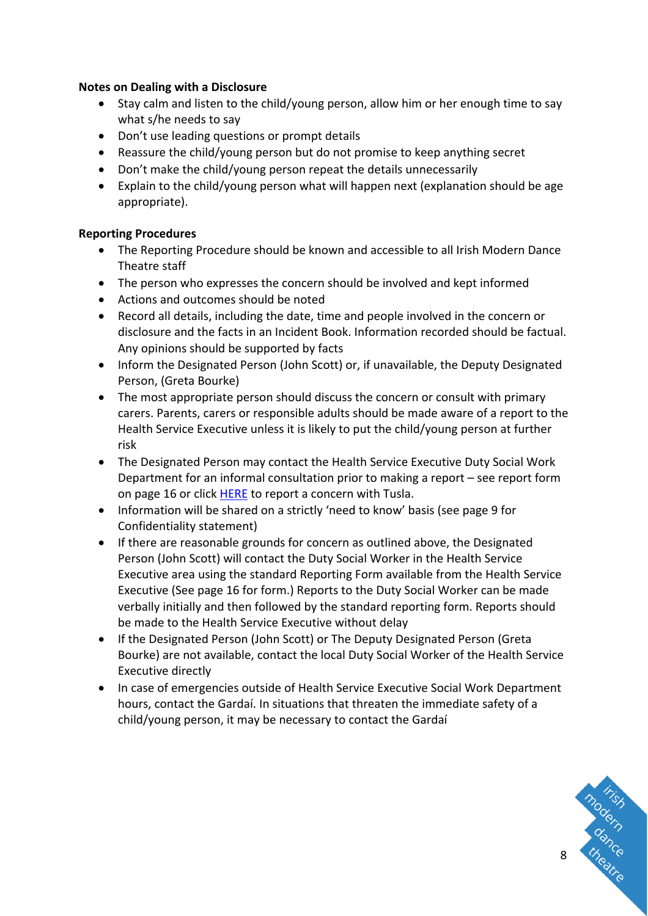#### **Notes on Dealing with a Disclosure**

- Stay calm and listen to the child/young person, allow him or her enough time to say what s/he needs to say
- Don't use leading questions or prompt details
- Reassure the child/young person but do not promise to keep anything secret
- Don't make the child/young person repeat the details unnecessarily
- Explain to the child/young person what will happen next (explanation should be age appropriate).

#### **Reporting Procedures**

- The Reporting Procedure should be known and accessible to all Irish Modern Dance Theatre staff
- The person who expresses the concern should be involved and kept informed
- Actions and outcomes should be noted
- Record all details, including the date, time and people involved in the concern or disclosure and the facts in an Incident Book. Information recorded should be factual. Any opinions should be supported by facts
- Inform the Designated Person (John Scott) or, if unavailable, the Deputy Designated Person, (Greta Bourke)
- The most appropriate person should discuss the concern or consult with primary carers. Parents, carers or responsible adults should be made aware of a report to the Health Service Executive unless it is likely to put the child/young person at further risk
- The Designated Person may contact the Health Service Executive Duty Social Work Department for an informal consultation prior to making a report – see report form on page 16 or click HERE to report a concern with Tusla.
- Information will be shared on a strictly 'need to know' basis (see page 9 for Confidentiality statement)
- If there are reasonable grounds for concern as outlined above, the Designated Person (John Scott) will contact the Duty Social Worker in the Health Service Executive area using the standard Reporting Form available from the Health Service Executive (See page 16 for form.) Reports to the Duty Social Worker can be made verbally initially and then followed by the standard reporting form. Reports should be made to the Health Service Executive without delay
- If the Designated Person (John Scott) or The Deputy Designated Person (Greta Bourke) are not available, contact the local Duty Social Worker of the Health Service Executive directly
- In case of emergencies outside of Health Service Executive Social Work Department hours, contact the Gardaí. In situations that threaten the immediate safety of a child/young person, it may be necessary to contact the Gardaí

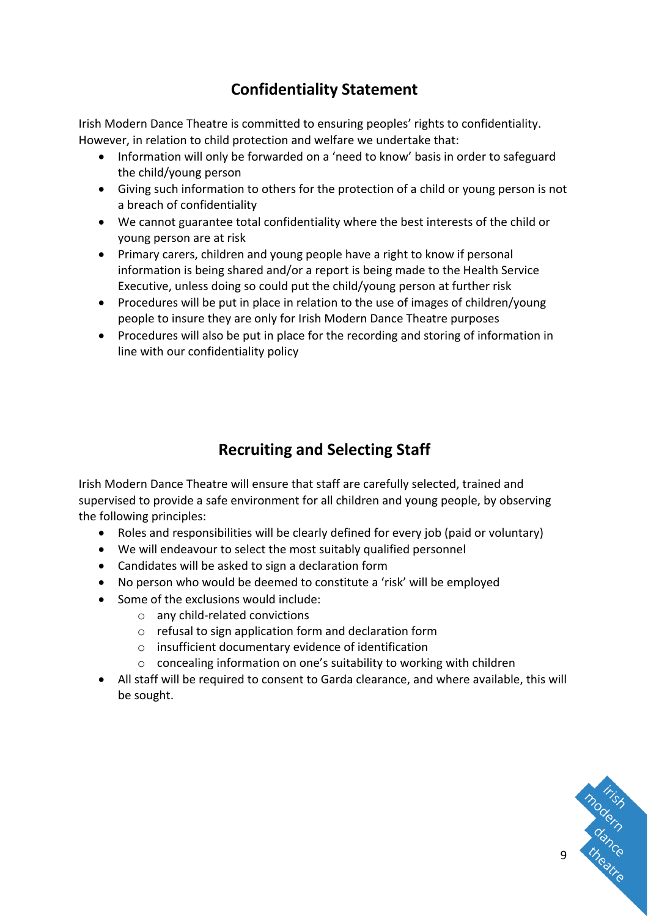## **Confidentiality Statement**

Irish Modern Dance Theatre is committed to ensuring peoples' rights to confidentiality. However, in relation to child protection and welfare we undertake that:

- Information will only be forwarded on a 'need to know' basis in order to safeguard the child/young person
- Giving such information to others for the protection of a child or young person is not a breach of confidentiality
- We cannot guarantee total confidentiality where the best interests of the child or young person are at risk
- Primary carers, children and young people have a right to know if personal information is being shared and/or a report is being made to the Health Service Executive, unless doing so could put the child/young person at further risk
- Procedures will be put in place in relation to the use of images of children/young people to insure they are only for Irish Modern Dance Theatre purposes
- Procedures will also be put in place for the recording and storing of information in line with our confidentiality policy

## **Recruiting and Selecting Staff**

Irish Modern Dance Theatre will ensure that staff are carefully selected, trained and supervised to provide a safe environment for all children and young people, by observing the following principles:

- Roles and responsibilities will be clearly defined for every job (paid or voluntary)
- We will endeavour to select the most suitably qualified personnel
- Candidates will be asked to sign a declaration form
- No person who would be deemed to constitute a 'risk' will be employed
- Some of the exclusions would include:
	- o any child-related convictions
	- o refusal to sign application form and declaration form
	- o insufficient documentary evidence of identification
	- o concealing information on one's suitability to working with children
- All staff will be required to consent to Garda clearance, and where available, this will be sought.

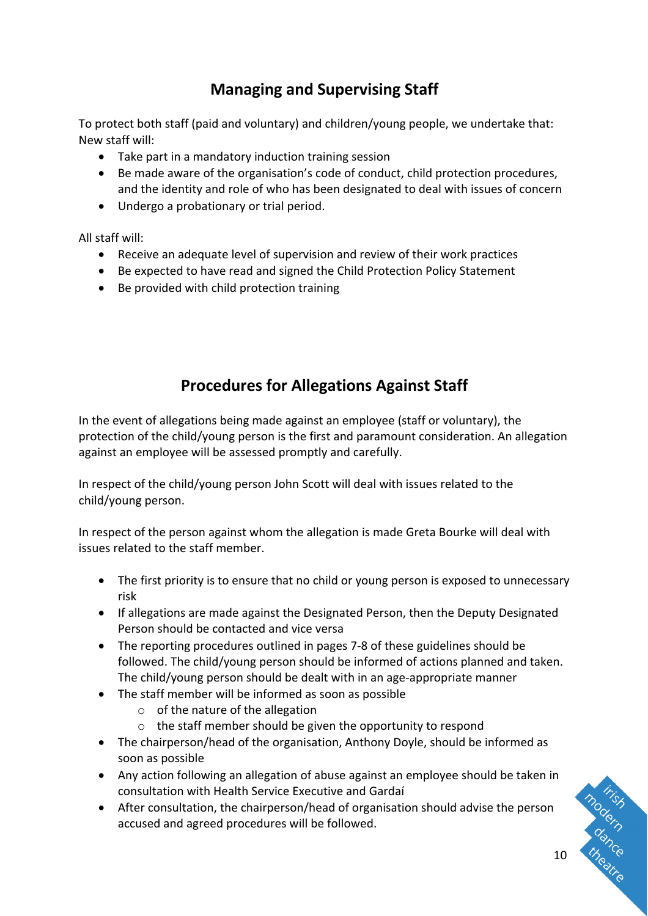## **Managing and Supervising Staff**

To protect both staff (paid and voluntary) and children/young people, we undertake that: New staff will:

- Take part in a mandatory induction training session
- Be made aware of the organisation's code of conduct, child protection procedures, and the identity and role of who has been designated to deal with issues of concern
- Undergo a probationary or trial period.

All staff will:

- Receive an adequate level of supervision and review of their work practices
- Be expected to have read and signed the Child Protection Policy Statement
- Be provided with child protection training

## **Procedures for Allegations Against Staff**

In the event of allegations being made against an employee (staff or voluntary), the protection of the child/young person is the first and paramount consideration. An allegation against an employee will be assessed promptly and carefully.

In respect of the child/young person John Scott will deal with issues related to the child/young person.

In respect of the person against whom the allegation is made Greta Bourke will deal with issues related to the staff member.

- The first priority is to ensure that no child or young person is exposed to unnecessary risk
- If allegations are made against the Designated Person, then the Deputy Designated Person should be contacted and vice versa
- The reporting procedures outlined in pages 7-8 of these guidelines should be followed. The child/young person should be informed of actions planned and taken. The child/young person should be dealt with in an age-appropriate manner
- The staff member will be informed as soon as possible
	- $\circ$  of the nature of the allegation
	- o the staff member should be given the opportunity to respond
- The chairperson/head of the organisation, Anthony Doyle, should be informed as soon as possible
- Any action following an allegation of abuse against an employee should be taken in consultation with Health Service Executive and Gardaí
- After consultation, the chairperson/head of organisation should advise the person accused and agreed procedures will be followed.

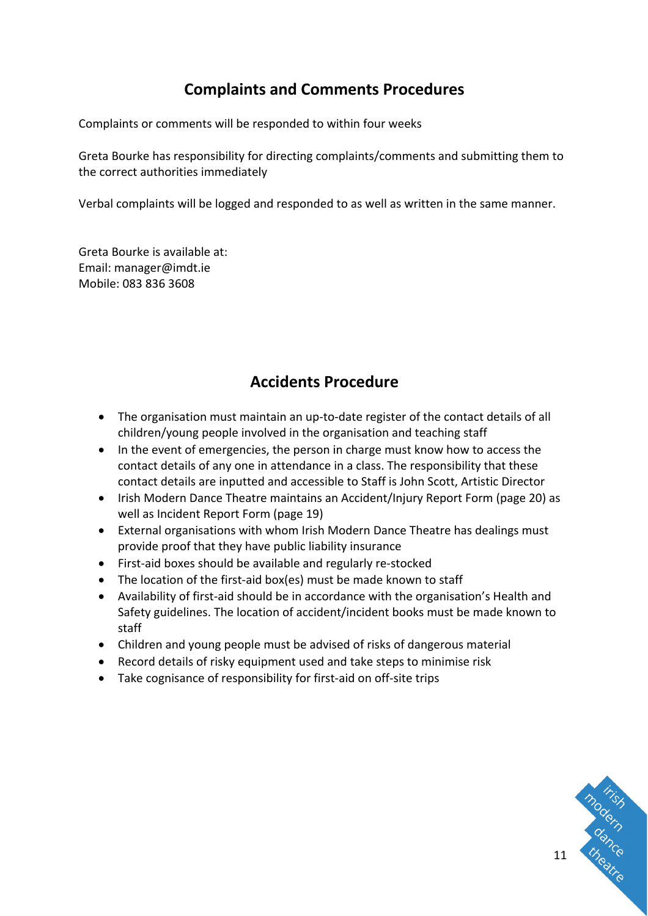## **Complaints and Comments Procedures**

Complaints or comments will be responded to within four weeks

Greta Bourke has responsibility for directing complaints/comments and submitting them to the correct authorities immediately

Verbal complaints will be logged and responded to as well as written in the same manner.

Greta Bourke is available at: Email: manager@imdt.ie Mobile: 083 836 3608

## **Accidents Procedure**

- The organisation must maintain an up-to-date register of the contact details of all children/young people involved in the organisation and teaching staff
- In the event of emergencies, the person in charge must know how to access the contact details of any one in attendance in a class. The responsibility that these contact details are inputted and accessible to Staff is John Scott, Artistic Director
- Irish Modern Dance Theatre maintains an Accident/Injury Report Form (page 20) as well as Incident Report Form (page 19)
- External organisations with whom Irish Modern Dance Theatre has dealings must provide proof that they have public liability insurance
- First-aid boxes should be available and regularly re-stocked
- The location of the first-aid box(es) must be made known to staff
- Availability of first-aid should be in accordance with the organisation's Health and Safety guidelines. The location of accident/incident books must be made known to staff
- Children and young people must be advised of risks of dangerous material
- Record details of risky equipment used and take steps to minimise risk
- Take cognisance of responsibility for first-aid on off-site trips

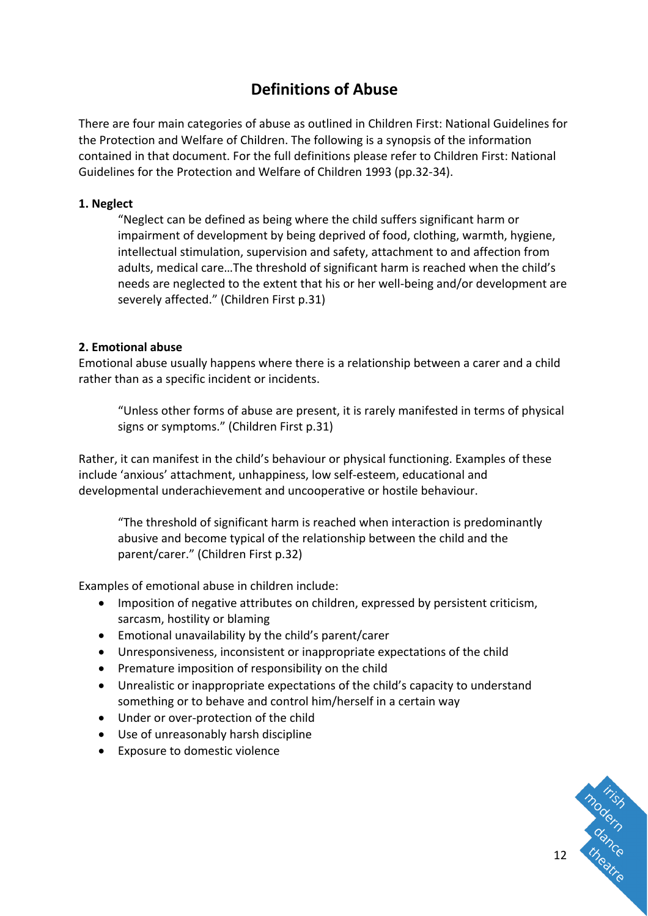## **Definitions of Abuse**

There are four main categories of abuse as outlined in Children First: National Guidelines for the Protection and Welfare of Children. The following is a synopsis of the information contained in that document. For the full definitions please refer to Children First: National Guidelines for the Protection and Welfare of Children 1993 (pp.32-34).

#### **1. Neglect**

"Neglect can be defined as being where the child suffers significant harm or impairment of development by being deprived of food, clothing, warmth, hygiene, intellectual stimulation, supervision and safety, attachment to and affection from adults, medical care…The threshold of significant harm is reached when the child's needs are neglected to the extent that his or her well-being and/or development are severely affected." (Children First p.31)

#### **2. Emotional abuse**

Emotional abuse usually happens where there is a relationship between a carer and a child rather than as a specific incident or incidents.

"Unless other forms of abuse are present, it is rarely manifested in terms of physical signs or symptoms." (Children First p.31)

Rather, it can manifest in the child's behaviour or physical functioning. Examples of these include 'anxious' attachment, unhappiness, low self-esteem, educational and developmental underachievement and uncooperative or hostile behaviour.

"The threshold of significant harm is reached when interaction is predominantly abusive and become typical of the relationship between the child and the parent/carer." (Children First p.32)

Examples of emotional abuse in children include:

- Imposition of negative attributes on children, expressed by persistent criticism, sarcasm, hostility or blaming
- Emotional unavailability by the child's parent/carer
- Unresponsiveness, inconsistent or inappropriate expectations of the child
- Premature imposition of responsibility on the child
- Unrealistic or inappropriate expectations of the child's capacity to understand something or to behave and control him/herself in a certain way
- Under or over-protection of the child
- Use of unreasonably harsh discipline
- Exposure to domestic violence

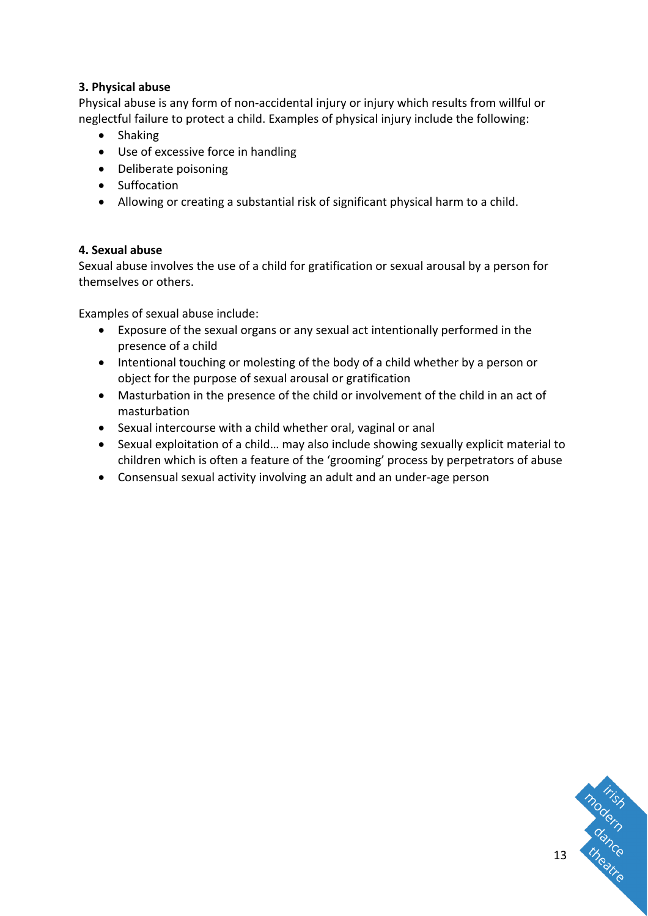#### **3. Physical abuse**

Physical abuse is any form of non-accidental injury or injury which results from willful or neglectful failure to protect a child. Examples of physical injury include the following:

- Shaking
- Use of excessive force in handling
- Deliberate poisoning
- Suffocation
- Allowing or creating a substantial risk of significant physical harm to a child.

#### **4. Sexual abuse**

Sexual abuse involves the use of a child for gratification or sexual arousal by a person for themselves or others.

Examples of sexual abuse include:

- Exposure of the sexual organs or any sexual act intentionally performed in the presence of a child
- Intentional touching or molesting of the body of a child whether by a person or object for the purpose of sexual arousal or gratification
- Masturbation in the presence of the child or involvement of the child in an act of masturbation
- Sexual intercourse with a child whether oral, vaginal or anal
- Sexual exploitation of a child… may also include showing sexually explicit material to children which is often a feature of the 'grooming' process by perpetrators of abuse
- Consensual sexual activity involving an adult and an under-age person

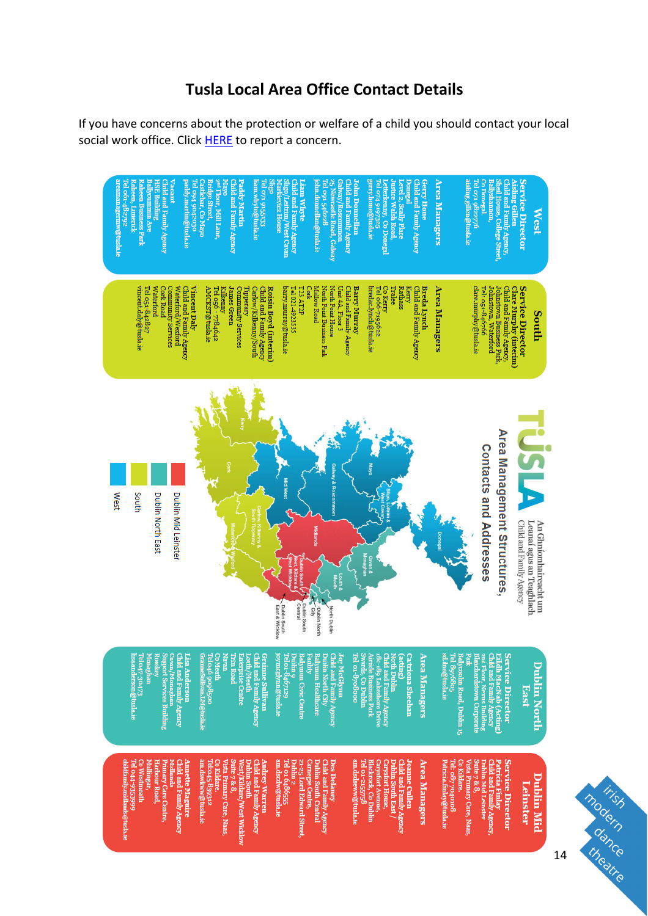## **Tusla Local Area Office Contact Details**

If you have concerns about the protection or welfare of a child you should contact your local social work office. Click **HERE** to report a concern.



14

modern ce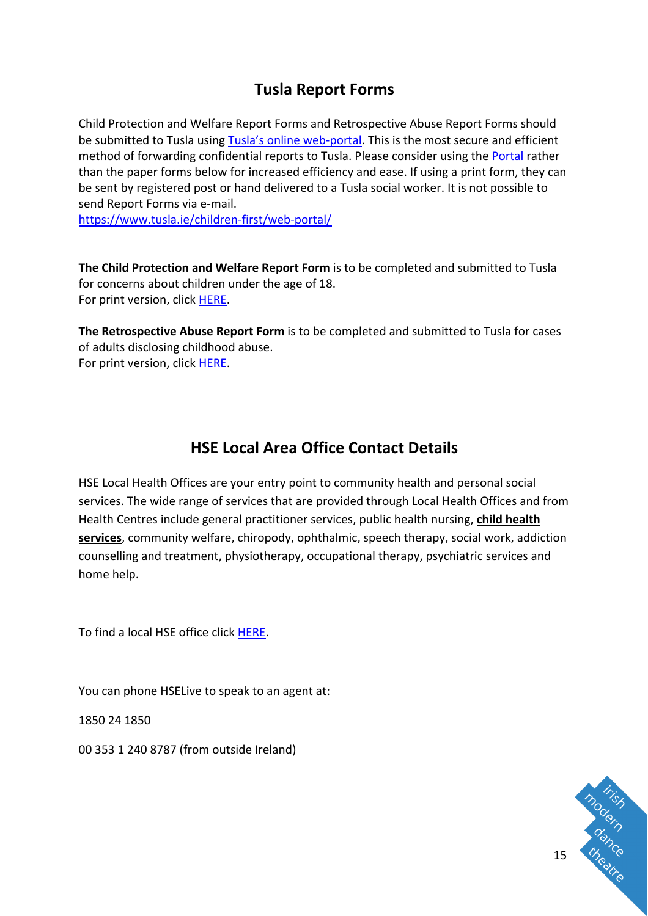## **Tusla Report Forms**

Child Protection and Welfare Report Forms and Retrospective Abuse Report Forms should be submitted to Tusla using Tusla's online web-portal. This is the most secure and efficient method of forwarding confidential reports to Tusla. Please consider using the Portal rather than the paper forms below for increased efficiency and ease. If using a print form, they can be sent by registered post or hand delivered to a Tusla social worker. It is not possible to send Report Forms via e-mail.

https://www.tusla.ie/children-first/web-portal/

**The Child Protection and Welfare Report Form** is to be completed and submitted to Tusla for concerns about children under the age of 18. For print version, click HERE.

**The Retrospective Abuse Report Form** is to be completed and submitted to Tusla for cases of adults disclosing childhood abuse. For print version, click HERE.

## **HSE Local Area Office Contact Details**

HSE Local Health Offices are your entry point to community health and personal social services. The wide range of services that are provided through Local Health Offices and from Health Centres include general practitioner services, public health nursing, **child health services**, community welfare, chiropody, ophthalmic, speech therapy, social work, addiction counselling and treatment, physiotherapy, occupational therapy, psychiatric services and home help.

To find a local HSE office click HERE.

You can phone HSELive to speak to an agent at:

1850 24 1850

00 353 1 240 8787 (from outside Ireland)

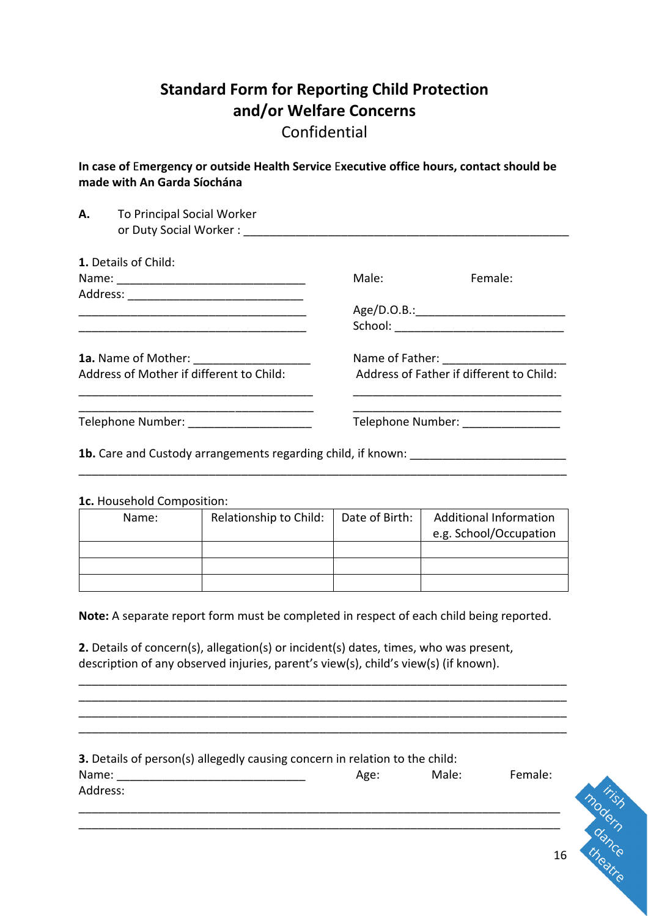## **Standard Form for Reporting Child Protection and/or Welfare Concerns**

## Confidential

**In case of** E**mergency or outside Health Service** E**xecutive office hours, contact should be made with An Garda Síochána** 

| А.<br>To Principal Social Worker         |       |                                          |
|------------------------------------------|-------|------------------------------------------|
| 1. Details of Child:                     |       |                                          |
|                                          | Male: | Female:                                  |
|                                          |       |                                          |
|                                          |       |                                          |
|                                          |       |                                          |
|                                          |       |                                          |
| Address of Mother if different to Child: |       | Address of Father if different to Child: |
|                                          |       |                                          |
|                                          |       | Telephone Number: _______________        |
|                                          |       |                                          |

**1b.** Care and Custody arrangements regarding child, if known: \_\_\_\_\_\_\_\_\_\_\_\_\_\_\_\_\_\_

| 1c. Household Composition: |                        |                |                               |
|----------------------------|------------------------|----------------|-------------------------------|
| Name:                      | Relationship to Child: | Date of Birth: | <b>Additional Information</b> |
|                            |                        |                | e.g. School/Occupation        |
|                            |                        |                |                               |
|                            |                        |                |                               |
|                            |                        |                |                               |

\_\_\_\_\_\_\_\_\_\_\_\_\_\_\_\_\_\_\_\_\_\_\_\_\_\_\_\_\_\_\_\_\_\_\_\_\_\_\_\_\_\_\_\_\_\_\_\_\_\_\_\_\_\_\_\_\_\_\_\_\_\_\_\_\_\_\_\_\_\_\_\_\_\_\_

**Note:** A separate report form must be completed in respect of each child being reported.

\_\_\_\_\_\_\_\_\_\_\_\_\_\_\_\_\_\_\_\_\_\_\_\_\_\_\_\_\_\_\_\_\_\_\_\_\_\_\_\_\_\_\_\_\_\_\_\_\_\_\_\_\_\_\_\_\_\_\_\_\_\_\_\_\_\_\_\_\_\_\_\_\_\_\_

**2.** Details of concern(s), allegation(s) or incident(s) dates, times, who was present, description of any observed injuries, parent's view(s), child's view(s) (if known).

| 3. Details of person(s) allegedly causing concern in relation to the child:<br>Name: | Age: | Male: | Female: |  |
|--------------------------------------------------------------------------------------|------|-------|---------|--|

\_\_\_\_\_\_\_\_\_\_\_\_\_\_\_\_\_\_\_\_\_\_\_\_\_\_\_\_\_\_\_\_\_\_\_\_\_\_\_\_\_\_\_\_\_\_\_\_\_\_\_\_\_\_\_\_\_\_\_\_\_\_\_\_\_\_\_\_\_\_\_\_\_\_

16

Injsheethe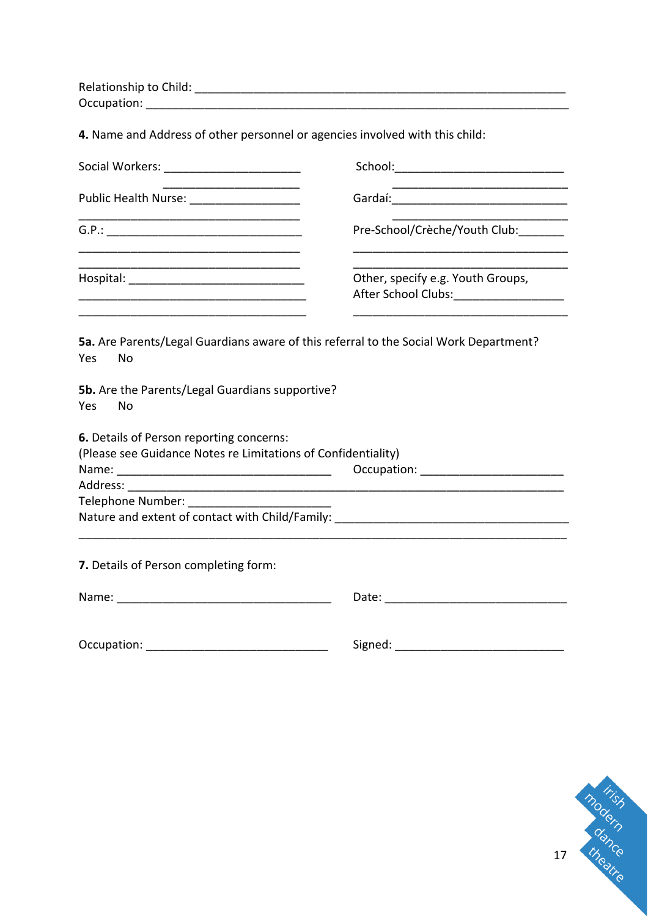| Relationship to Child: |  |
|------------------------|--|
| Occupation:            |  |

**4.** Name and Address of other personnel or agencies involved with this child:

| School: _________________                                         |
|-------------------------------------------------------------------|
| Gardaí: _____________________                                     |
| Pre-School/Crèche/Youth Club:                                     |
| Other, specify e.g. Youth Groups,<br>After School Clubs: ________ |
|                                                                   |

**5a.** Are Parents/Legal Guardians aware of this referral to the Social Work Department? Yes No

**5b.** Are the Parents/Legal Guardians supportive? Yes No

**6.** Details of Person reporting concerns:

(Please see Guidance Notes re Limitations of Confidentiality)

Name: \_\_\_\_\_\_\_\_\_\_\_\_\_\_\_\_\_\_\_\_\_\_\_\_\_\_\_\_\_\_\_\_\_ Occupation: \_\_\_\_\_\_\_\_\_\_\_\_\_\_\_\_\_\_\_\_\_\_

Address: \_\_\_\_\_\_\_\_\_\_\_\_\_\_\_\_\_\_\_\_\_\_\_\_\_\_\_\_\_\_\_\_\_\_\_\_\_\_\_\_\_\_\_\_\_\_\_\_\_\_\_\_\_\_\_\_\_\_\_\_\_\_\_\_\_\_\_

Telephone Number: \_\_\_\_\_

Nature and extent of contact with Child/Family: \_\_\_\_\_\_\_\_\_\_\_\_\_\_\_\_\_\_\_\_\_\_\_\_\_\_\_\_\_\_\_\_

**7.** Details of Person completing form:

| Name: | Date: |
|-------|-------|
|       |       |
|       |       |

\_\_\_\_\_\_\_\_\_\_\_\_\_\_\_\_\_\_\_\_\_\_\_\_\_\_\_\_\_\_\_\_\_\_\_\_\_\_\_\_\_\_\_\_\_\_\_\_\_\_\_\_\_\_\_\_\_\_\_\_\_\_\_\_\_\_\_\_\_\_\_\_\_\_\_

Occupation: example of the state of the Signed:  $Signed:$ 

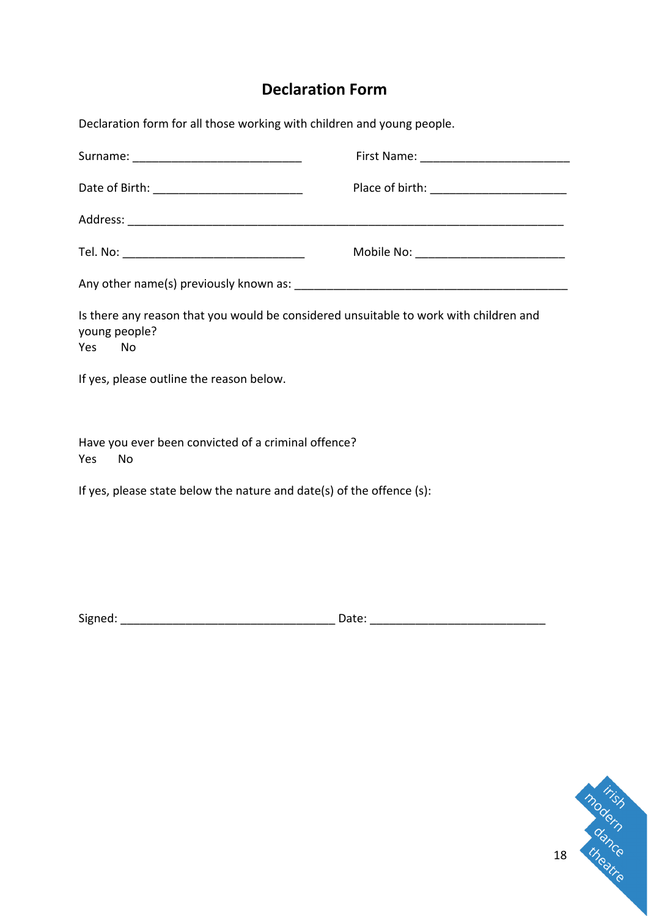## **Declaration Form**

| Declaration form for all those working with children and young people. |                                                                                       |
|------------------------------------------------------------------------|---------------------------------------------------------------------------------------|
|                                                                        |                                                                                       |
|                                                                        |                                                                                       |
|                                                                        |                                                                                       |
|                                                                        | Mobile No: ______________________________                                             |
|                                                                        |                                                                                       |
| young people?<br><b>No</b><br>Yes                                      | Is there any reason that you would be considered unsuitable to work with children and |
| If yes, please outline the reason below.                               |                                                                                       |
| Have you ever been convicted of a criminal offence?<br>Yes<br>No       |                                                                                       |
| If yes, please state below the nature and date(s) of the offence (s):  |                                                                                       |
|                                                                        |                                                                                       |
|                                                                        |                                                                                       |
|                                                                        |                                                                                       |

Signed: \_\_\_\_\_\_\_\_\_\_\_\_\_\_\_\_\_\_\_\_\_\_\_\_\_\_\_\_\_\_\_\_\_ Date: \_\_\_\_\_\_\_\_\_\_\_\_\_\_\_\_\_\_\_\_\_\_\_\_\_\_\_

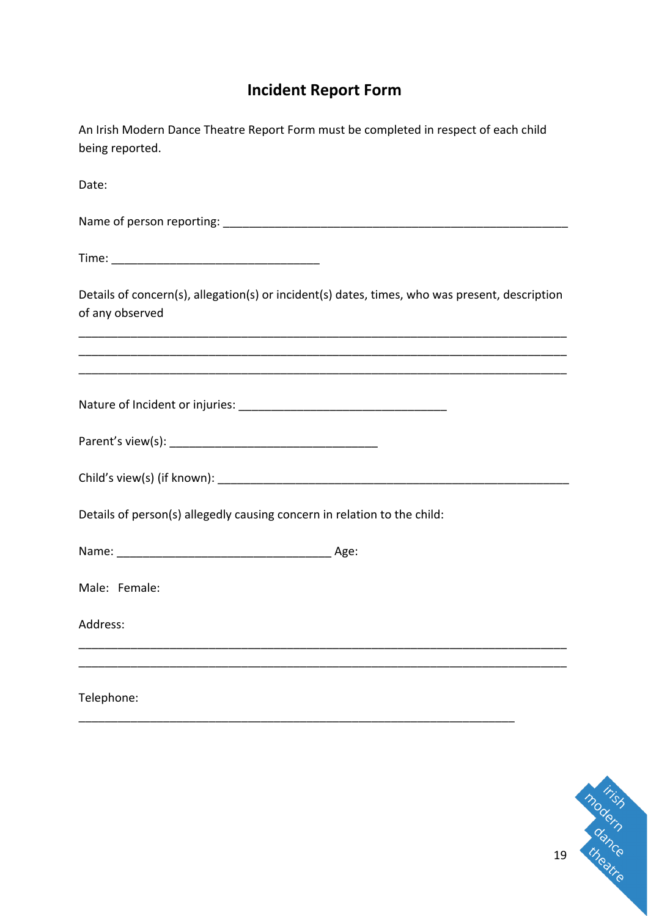## **Incident Report Form**

| An Irish Modern Dance Theatre Report Form must be completed in respect of each child                              |
|-------------------------------------------------------------------------------------------------------------------|
| being reported.                                                                                                   |
| Date:                                                                                                             |
|                                                                                                                   |
|                                                                                                                   |
| Details of concern(s), allegation(s) or incident(s) dates, times, who was present, description<br>of any observed |
| ,我们的人们就会在这里的人们,我们也不会在这里的人们,我们也不会在这里的人们,我们也不会在这里的人们,我们也不会在这里的人们,我们也不会在这里的人们,我们也不会                                  |
|                                                                                                                   |
|                                                                                                                   |
|                                                                                                                   |
| Details of person(s) allegedly causing concern in relation to the child:                                          |
|                                                                                                                   |
| Male: Female:                                                                                                     |
| Address:                                                                                                          |
|                                                                                                                   |
| Telephone:                                                                                                        |

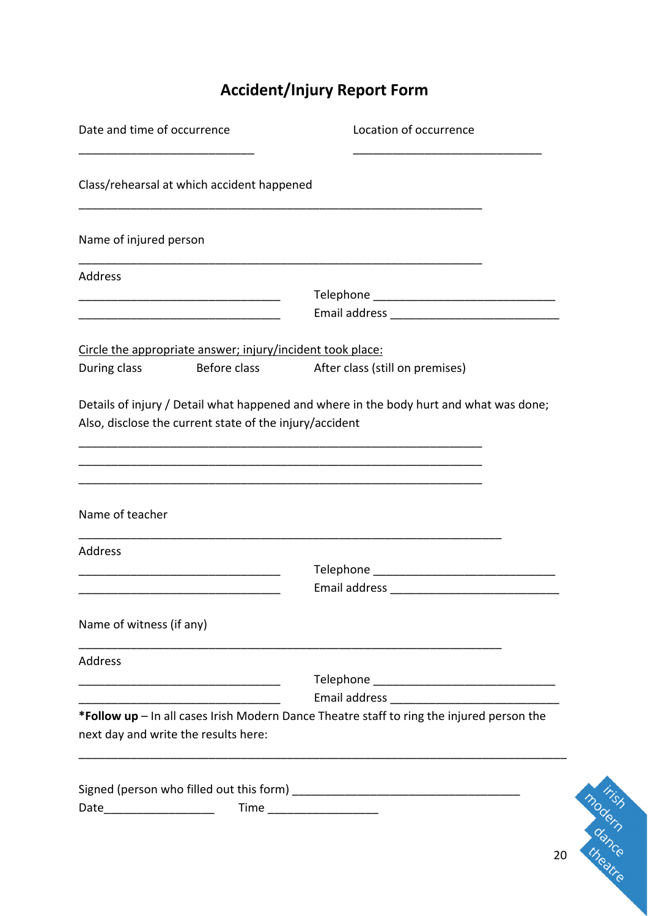# **Accident/Injury Report Form**

| Date and time of occurrence                                                | Location of occurrence                                                                    |
|----------------------------------------------------------------------------|-------------------------------------------------------------------------------------------|
| Class/rehearsal at which accident happened                                 |                                                                                           |
| Name of injured person                                                     |                                                                                           |
| Address                                                                    |                                                                                           |
| Circle the appropriate answer; injury/incident took place:<br>During class | Before class After class (still on premises)                                              |
| Also, disclose the current state of the injury/accident                    | Details of injury / Detail what happened and where in the body hurt and what was done;    |
| Name of teacher                                                            |                                                                                           |
| Address                                                                    |                                                                                           |
| Name of witness (if any)                                                   |                                                                                           |
| Address                                                                    | *Follow up - In all cases Irish Modern Dance Theatre staff to ring the injured person the |
| next day and write the results here:                                       |                                                                                           |
| Date_____________________  Time ____________________                       |                                                                                           |
|                                                                            | 20                                                                                        |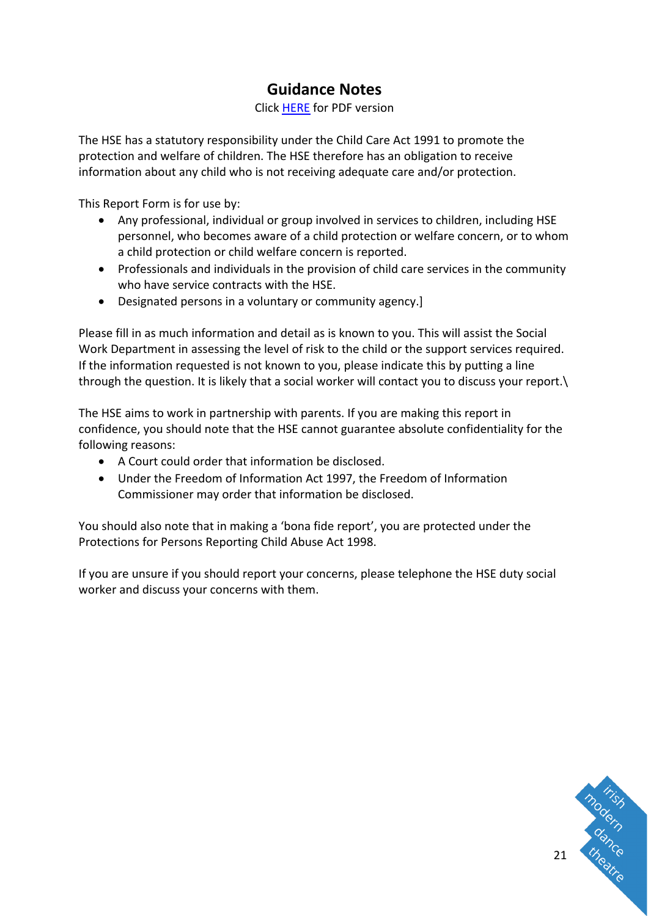## **Guidance Notes**

Click HERE for PDF version

The HSE has a statutory responsibility under the Child Care Act 1991 to promote the protection and welfare of children. The HSE therefore has an obligation to receive information about any child who is not receiving adequate care and/or protection.

This Report Form is for use by:

- Any professional, individual or group involved in services to children, including HSE personnel, who becomes aware of a child protection or welfare concern, or to whom a child protection or child welfare concern is reported.
- Professionals and individuals in the provision of child care services in the community who have service contracts with the HSE.
- Designated persons in a voluntary or community agency.]

Please fill in as much information and detail as is known to you. This will assist the Social Work Department in assessing the level of risk to the child or the support services required. If the information requested is not known to you, please indicate this by putting a line through the question. It is likely that a social worker will contact you to discuss your report.\

The HSE aims to work in partnership with parents. If you are making this report in confidence, you should note that the HSE cannot guarantee absolute confidentiality for the following reasons:

- A Court could order that information be disclosed.
- Under the Freedom of Information Act 1997, the Freedom of Information Commissioner may order that information be disclosed.

You should also note that in making a 'bona fide report', you are protected under the Protections for Persons Reporting Child Abuse Act 1998.

If you are unsure if you should report your concerns, please telephone the HSE duty social worker and discuss your concerns with them.

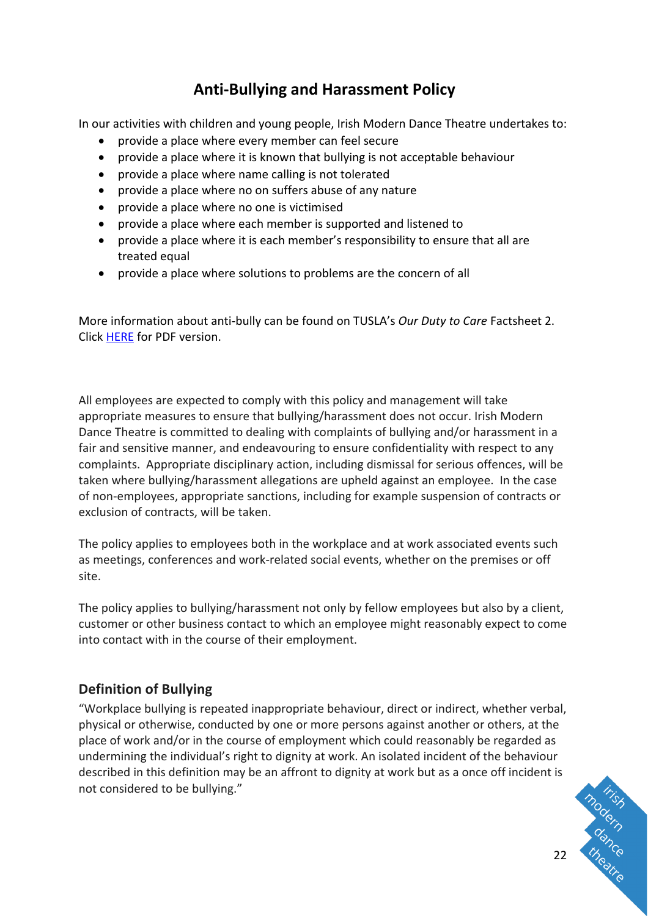## **Anti-Bullying and Harassment Policy**

In our activities with children and young people, Irish Modern Dance Theatre undertakes to:

- provide a place where every member can feel secure
- provide a place where it is known that bullying is not acceptable behaviour
- provide a place where name calling is not tolerated
- provide a place where no on suffers abuse of any nature
- provide a place where no one is victimised
- provide a place where each member is supported and listened to
- provide a place where it is each member's responsibility to ensure that all are treated equal
- provide a place where solutions to problems are the concern of all

More information about anti-bully can be found on TUSLA's *Our Duty to Care* Factsheet 2. Click HERE for PDF version.

All employees are expected to comply with this policy and management will take appropriate measures to ensure that bullying/harassment does not occur. Irish Modern Dance Theatre is committed to dealing with complaints of bullying and/or harassment in a fair and sensitive manner, and endeavouring to ensure confidentiality with respect to any complaints. Appropriate disciplinary action, including dismissal for serious offences, will be taken where bullying/harassment allegations are upheld against an employee. In the case of non-employees, appropriate sanctions, including for example suspension of contracts or exclusion of contracts, will be taken.

The policy applies to employees both in the workplace and at work associated events such as meetings, conferences and work-related social events, whether on the premises or off site.

The policy applies to bullying/harassment not only by fellow employees but also by a client, customer or other business contact to which an employee might reasonably expect to come into contact with in the course of their employment.

## **Definition of Bullying**

"Workplace bullying is repeated inappropriate behaviour, direct or indirect, whether verbal, physical or otherwise, conducted by one or more persons against another or others, at the place of work and/or in the course of employment which could reasonably be regarded as undermining the individual's right to dignity at work. An isolated incident of the behaviour described in this definition may be an affront to dignity at work but as a once off incident is not considered to be bullying."

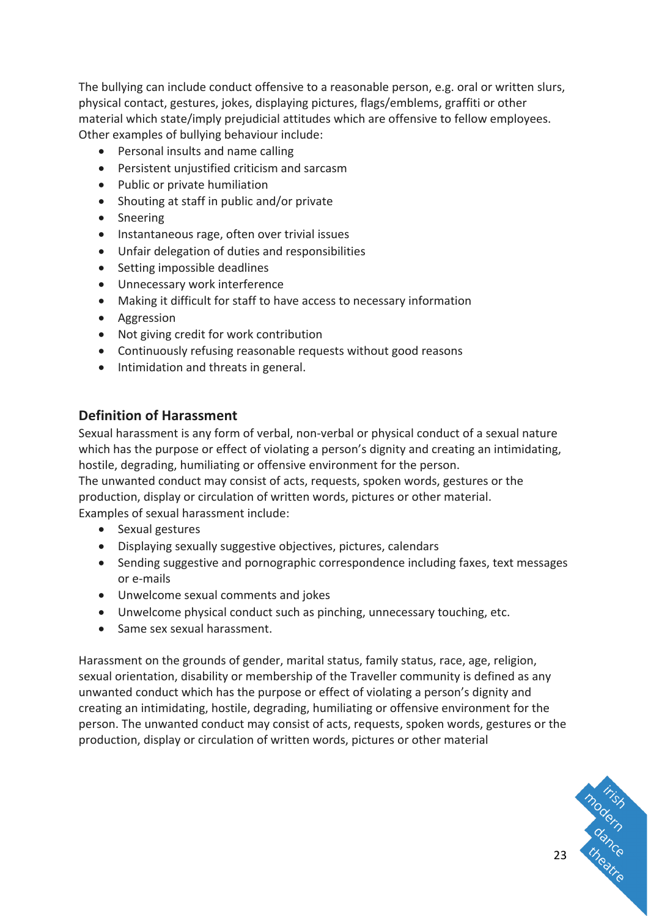The bullying can include conduct offensive to a reasonable person, e.g. oral or written slurs, physical contact, gestures, jokes, displaying pictures, flags/emblems, graffiti or other material which state/imply prejudicial attitudes which are offensive to fellow employees. Other examples of bullying behaviour include:

- Personal insults and name calling
- Persistent unjustified criticism and sarcasm
- Public or private humiliation
- Shouting at staff in public and/or private
- Sneering
- Instantaneous rage, often over trivial issues
- Unfair delegation of duties and responsibilities
- Setting impossible deadlines
- Unnecessary work interference
- Making it difficult for staff to have access to necessary information
- Aggression
- Not giving credit for work contribution
- Continuously refusing reasonable requests without good reasons
- Intimidation and threats in general.

#### **Definition of Harassment**

Sexual harassment is any form of verbal, non-verbal or physical conduct of a sexual nature which has the purpose or effect of violating a person's dignity and creating an intimidating, hostile, degrading, humiliating or offensive environment for the person.

The unwanted conduct may consist of acts, requests, spoken words, gestures or the production, display or circulation of written words, pictures or other material. Examples of sexual harassment include:

- Sexual gestures
- Displaying sexually suggestive objectives, pictures, calendars
- Sending suggestive and pornographic correspondence including faxes, text messages or e-mails
- Unwelcome sexual comments and jokes
- Unwelcome physical conduct such as pinching, unnecessary touching, etc.
- Same sex sexual harassment.

Harassment on the grounds of gender, marital status, family status, race, age, religion, sexual orientation, disability or membership of the Traveller community is defined as any unwanted conduct which has the purpose or effect of violating a person's dignity and creating an intimidating, hostile, degrading, humiliating or offensive environment for the person. The unwanted conduct may consist of acts, requests, spoken words, gestures or the production, display or circulation of written words, pictures or other material

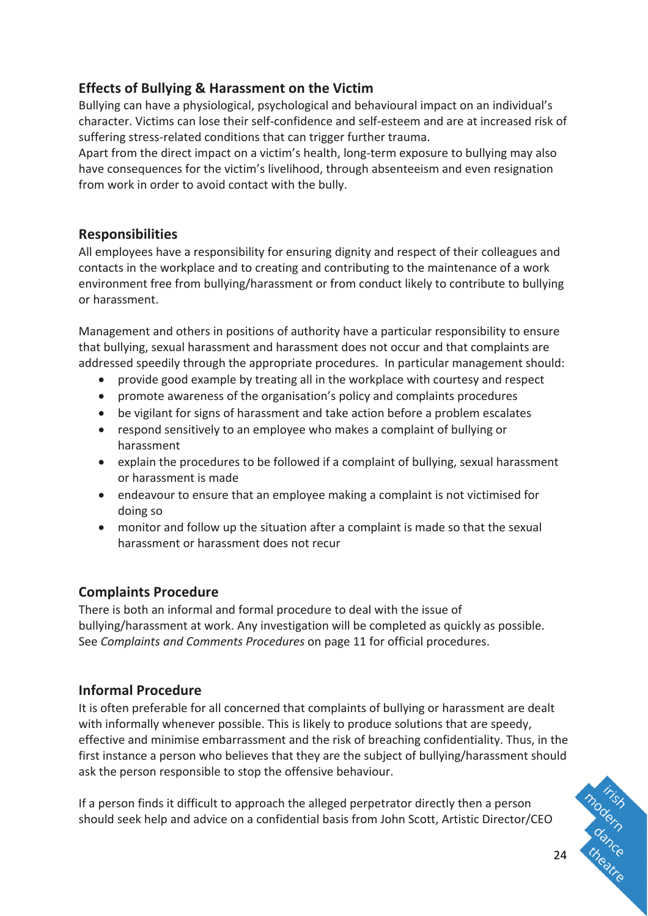## **Effects of Bullying & Harassment on the Victim**

Bullying can have a physiological, psychological and behavioural impact on an individual's character. Victims can lose their self-confidence and self-esteem and are at increased risk of suffering stress-related conditions that can trigger further trauma.

Apart from the direct impact on a victim's health, long-term exposure to bullying may also have consequences for the victim's livelihood, through absenteeism and even resignation from work in order to avoid contact with the bully.

## **Responsibilities**

All employees have a responsibility for ensuring dignity and respect of their colleagues and contacts in the workplace and to creating and contributing to the maintenance of a work environment free from bullying/harassment or from conduct likely to contribute to bullying or harassment.

Management and others in positions of authority have a particular responsibility to ensure that bullying, sexual harassment and harassment does not occur and that complaints are addressed speedily through the appropriate procedures. In particular management should:

- provide good example by treating all in the workplace with courtesy and respect
- promote awareness of the organisation's policy and complaints procedures
- be vigilant for signs of harassment and take action before a problem escalates
- respond sensitively to an employee who makes a complaint of bullying or harassment
- explain the procedures to be followed if a complaint of bullying, sexual harassment or harassment is made
- endeavour to ensure that an employee making a complaint is not victimised for doing so
- monitor and follow up the situation after a complaint is made so that the sexual harassment or harassment does not recur

## **Complaints Procedure**

There is both an informal and formal procedure to deal with the issue of bullying/harassment at work. Any investigation will be completed as quickly as possible. See *Complaints and Comments Procedures* on page 11 for official procedures.

## **Informal Procedure**

It is often preferable for all concerned that complaints of bullying or harassment are dealt with informally whenever possible. This is likely to produce solutions that are speedy, effective and minimise embarrassment and the risk of breaching confidentiality. Thus, in the first instance a person who believes that they are the subject of bullying/harassment should ask the person responsible to stop the offensive behaviour.

If a person finds it difficult to approach the alleged perpetrator directly then a person should seek help and advice on a confidential basis from John Scott, Artistic Director/CEO

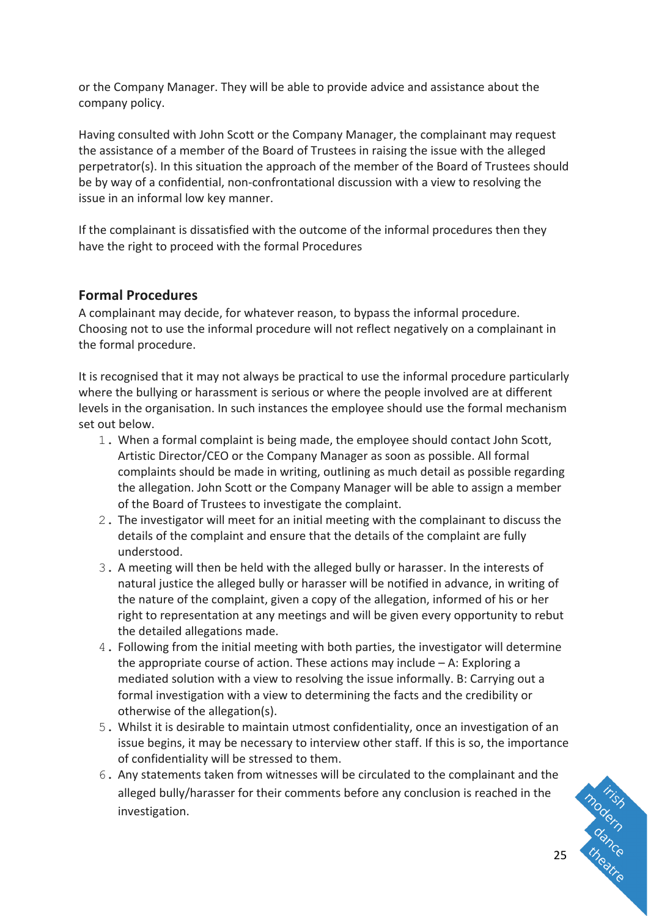or the Company Manager. They will be able to provide advice and assistance about the company policy.

Having consulted with John Scott or the Company Manager, the complainant may request the assistance of a member of the Board of Trustees in raising the issue with the alleged perpetrator(s). In this situation the approach of the member of the Board of Trustees should be by way of a confidential, non-confrontational discussion with a view to resolving the issue in an informal low key manner.

If the complainant is dissatisfied with the outcome of the informal procedures then they have the right to proceed with the formal Procedures

#### **Formal Procedures**

A complainant may decide, for whatever reason, to bypass the informal procedure. Choosing not to use the informal procedure will not reflect negatively on a complainant in the formal procedure.

It is recognised that it may not always be practical to use the informal procedure particularly where the bullying or harassment is serious or where the people involved are at different levels in the organisation. In such instances the employee should use the formal mechanism set out below.

- 1. When a formal complaint is being made, the employee should contact John Scott, Artistic Director/CEO or the Company Manager as soon as possible. All formal complaints should be made in writing, outlining as much detail as possible regarding the allegation. John Scott or the Company Manager will be able to assign a member of the Board of Trustees to investigate the complaint.
- 2. The investigator will meet for an initial meeting with the complainant to discuss the details of the complaint and ensure that the details of the complaint are fully understood.
- 3. A meeting will then be held with the alleged bully or harasser. In the interests of natural justice the alleged bully or harasser will be notified in advance, in writing of the nature of the complaint, given a copy of the allegation, informed of his or her right to representation at any meetings and will be given every opportunity to rebut the detailed allegations made.
- 4. Following from the initial meeting with both parties, the investigator will determine the appropriate course of action. These actions may include – A: Exploring a mediated solution with a view to resolving the issue informally. B: Carrying out a formal investigation with a view to determining the facts and the credibility or otherwise of the allegation(s).
- 5. Whilst it is desirable to maintain utmost confidentiality, once an investigation of an issue begins, it may be necessary to interview other staff. If this is so, the importance of confidentiality will be stressed to them.
- 6. Any statements taken from witnesses will be circulated to the complainant and the alleged bully/harasser for their comments before any conclusion is reached in the investigation.

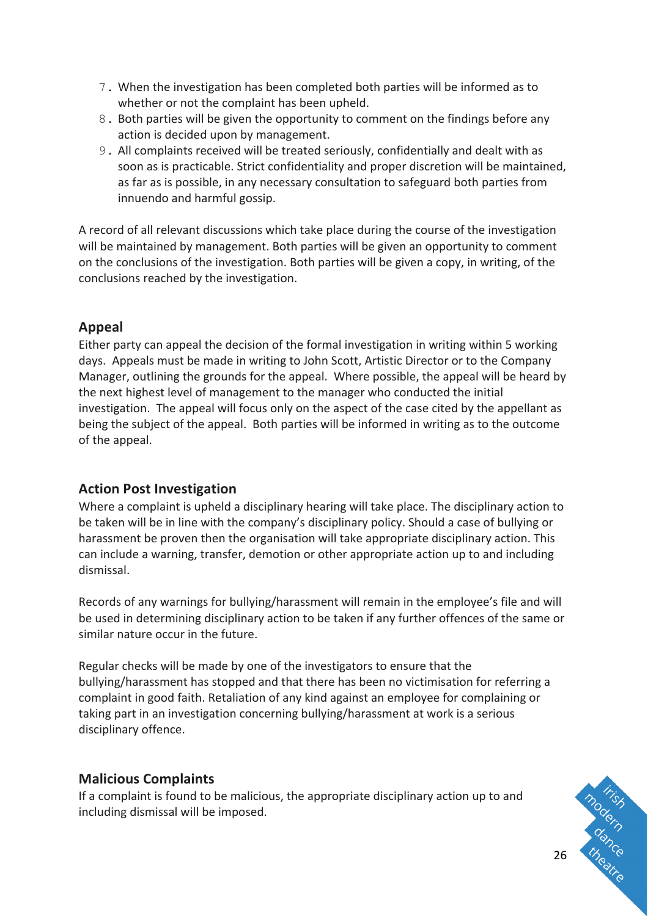- 7. When the investigation has been completed both parties will be informed as to whether or not the complaint has been upheld.
- 8. Both parties will be given the opportunity to comment on the findings before any action is decided upon by management.
- 9. All complaints received will be treated seriously, confidentially and dealt with as soon as is practicable. Strict confidentiality and proper discretion will be maintained, as far as is possible, in any necessary consultation to safeguard both parties from innuendo and harmful gossip.

A record of all relevant discussions which take place during the course of the investigation will be maintained by management. Both parties will be given an opportunity to comment on the conclusions of the investigation. Both parties will be given a copy, in writing, of the conclusions reached by the investigation.

#### **Appeal**

Either party can appeal the decision of the formal investigation in writing within 5 working days. Appeals must be made in writing to John Scott, Artistic Director or to the Company Manager, outlining the grounds for the appeal. Where possible, the appeal will be heard by the next highest level of management to the manager who conducted the initial investigation. The appeal will focus only on the aspect of the case cited by the appellant as being the subject of the appeal. Both parties will be informed in writing as to the outcome of the appeal.

#### **Action Post Investigation**

Where a complaint is upheld a disciplinary hearing will take place. The disciplinary action to be taken will be in line with the company's disciplinary policy. Should a case of bullying or harassment be proven then the organisation will take appropriate disciplinary action. This can include a warning, transfer, demotion or other appropriate action up to and including dismissal.

Records of any warnings for bullying/harassment will remain in the employee's file and will be used in determining disciplinary action to be taken if any further offences of the same or similar nature occur in the future.

Regular checks will be made by one of the investigators to ensure that the bullying/harassment has stopped and that there has been no victimisation for referring a complaint in good faith. Retaliation of any kind against an employee for complaining or taking part in an investigation concerning bullying/harassment at work is a serious disciplinary offence.

#### **Malicious Complaints**

If a complaint is found to be malicious, the appropriate disciplinary action up to and including dismissal will be imposed.